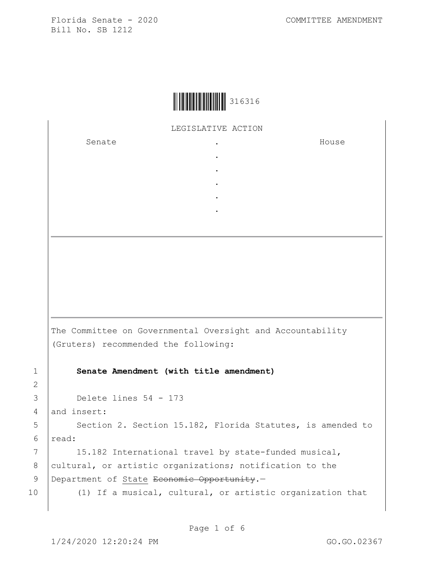## LEGISLATIVE ACTION

. . . . .

Senate the senate of the senate of the senate of  $\cdot$ 

House

The Committee on Governmental Oversight and Accountability (Gruters) recommended the following: 1 **Senate Amendment (with title amendment)** 3 Delete lines 54 - 173 4 and insert: 5 | Section 2. Section 15.182, Florida Statutes, is amended to 6 read: 7 | 15.182 International travel by state-funded musical, 8 cultural, or artistic organizations; notification to the

```
9 Department of State Economic Opportunity.-
```
10 (1) If a musical, cultural, or artistic organization that

2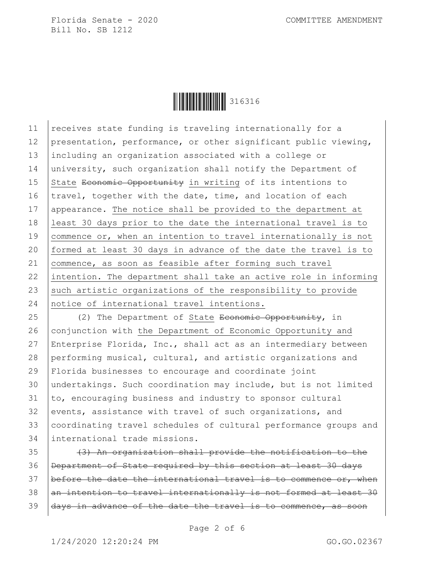

11 receives state funding is traveling internationally for a 12 presentation, performance, or other significant public viewing, 13 including an organization associated with a college or 14 university, such organization shall notify the Department of 15 State Economic Opportunity in writing of its intentions to 16  $|$ travel, together with the date, time, and location of each 17 | appearance. The notice shall be provided to the department at 18 least 30 days prior to the date the international travel is to 19 commence or, when an intention to travel internationally is not 20 formed at least 30 days in advance of the date the travel is to 21 commence, as soon as feasible after forming such travel 22 intention. The department shall take an active role in informing 23 such artistic organizations of the responsibility to provide 24 notice of international travel intentions.

25 (2) The Department of State Economic Opportunity, in 26 conjunction with the Department of Economic Opportunity and 27 Enterprise Florida, Inc., shall act as an intermediary between 28 performing musical, cultural, and artistic organizations and 29 Florida businesses to encourage and coordinate joint 30 undertakings. Such coordination may include, but is not limited  $31$  to, encouraging business and industry to sponsor cultural 32 events, assistance with travel of such organizations, and 33 coordinating travel schedules of cultural performance groups and 34 international trade missions.

 $35$   $(3)$  An organization shall provide the notification to the 36 Department of State required by this section at least 30 days 37 before the date the international travel is to commence or, when  $38$  an intention to travel internationally is not formed at least  $30$ 39 days in advance of the date the travel is to commence, as soon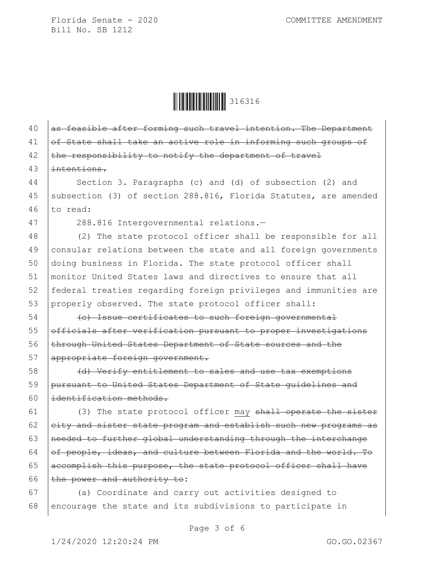Ì316316!Î316316

 $40$  as feasible after forming such travel intention. The Department 41 of State shall take an active role in informing such groups of 42  $\theta$  the responsibility to notify the department of travel 43 | intentions. 44 Section 3. Paragraphs (c) and (d) of subsection (2) and 45 subsection (3) of section 288.816, Florida Statutes, are amended 46  $\vert$  to read: 47 288.816 Intergovernmental relations.— 48 (2) The state protocol officer shall be responsible for all 49 consular relations between the state and all foreign governments 50 doing business in Florida. The state protocol officer shall 51 monitor United States laws and directives to ensure that all 52 federal treaties regarding foreign privileges and immunities are 53 properly observed. The state protocol officer shall: 54 (c) Issue certificates to such foreign governmental 55 **officials after verification pursuant to proper investigations** 56 Ehrough United States Department of State sources and the 57 appropriate foreign government. 58 (d) Verify entitlement to sales and use tax exemptions 59 pursuant to United States Department of State guidelines and 60 identification methods. 61  $(3)$  The state protocol officer may shall operate the sister 62  $\left|$  eity and sister state program and establish such new programs as 63 | needed to further global understanding through the interchange 64 of people, ideas, and culture between Florida and the world. To 65 accomplish this purpose, the state protocol officer shall have 66 | the power and authority to: 67 (a) Coordinate and carry out activities designed to  $68$  encourage the state and its subdivisions to participate in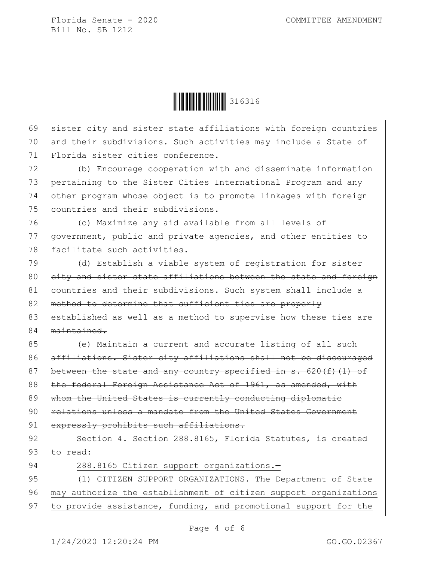Ì316316!Î316316

69 sister city and sister state affiliations with foreign countries 70 and their subdivisions. Such activities may include a State of 71 Florida sister cities conference.

 (b) Encourage cooperation with and disseminate information pertaining to the Sister Cities International Program and any other program whose object is to promote linkages with foreign countries and their subdivisions.

76 (c) Maximize any aid available from all levels of 77 government, public and private agencies, and other entities to 78 facilitate such activities.

79 (d) Establish a viable system of registration for sister 80 eity and sister state affiliations between the state and foreign 81 eountries and their subdivisions. Such system shall include a 82 | method to determine that sufficient ties are properly 83 established as well as a method to supervise how these ties are 84 maintained.

85 (e) Maintain a current and accurate listing of all such 86 affiliations. Sister city affiliations shall not be discouraged 87 between the state and any country specified in s.  $620(f)(1)$  of 88 the federal Foreign Assistance Act of 1961, as amended, with 89  $\frac{1}{2}$  whom the United States is currently conducting diplomatic 90 relations unless a mandate from the United States Government 91 expressly prohibits such affiliations.

92 Section 4. Section 288.8165, Florida Statutes, is created 93  $\vert$  to read:

94 | 288.8165 Citizen support organizations.-

95 (1) CITIZEN SUPPORT ORGANIZATIONS.—The Department of State 96 | may authorize the establishment of citizen support organizations 97  $\vert$  to provide assistance, funding, and promotional support for the

Page 4 of 6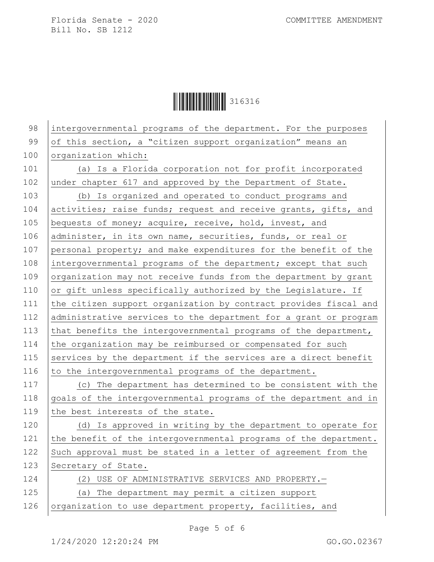Ì316316!Î316316

98 intergovernmental programs of the department. For the purposes 99 of this section, a "citizen support organization" means an 100 | organization which: 101 (a) Is a Florida corporation not for profit incorporated 102 under chapter 617 and approved by the Department of State. 103 (b) Is organized and operated to conduct programs and 104 activities; raise funds; request and receive grants, gifts, and 105 bequests of money; acquire, receive, hold, invest, and 106 administer, in its own name, securities, funds, or real or 107 personal property; and make expenditures for the benefit of the 108 intergovernmental programs of the department; except that such 109 organization may not receive funds from the department by grant 110  $\vert$  or gift unless specifically authorized by the Legislature. If 111 the citizen support organization by contract provides fiscal and 112 administrative services to the department for a grant or program 113 that benefits the intergovernmental programs of the department, 114 the organization may be reimbursed or compensated for such 115 services by the department if the services are a direct benefit 116 to the intergovernmental programs of the department. 117 (c) The department has determined to be consistent with the 118 goals of the intergovernmental programs of the department and in 119 the best interests of the state. 120 (d) Is approved in writing by the department to operate for 121 the benefit of the intergovernmental programs of the department. 122  $\vert$  Such approval must be stated in a letter of agreement from the 123 Secretary of State. 124 (2) USE OF ADMINISTRATIVE SERVICES AND PROPERTY. 125 (a) The department may permit a citizen support 126 | organization to use department property, facilities, and